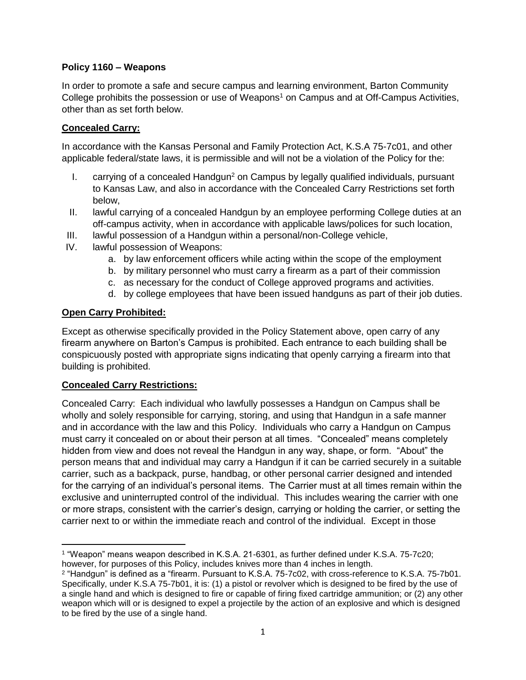## **Policy 1160 – Weapons**

In order to promote a safe and secure campus and learning environment, Barton Community College prohibits the possession or use of Weapons<sup>1</sup> on Campus and at Off-Campus Activities, other than as set forth below.

## **Concealed Carry:**

In accordance with the Kansas Personal and Family Protection Act, K.S.A 75-7c01, and other applicable federal/state laws, it is permissible and will not be a violation of the Policy for the:

- I. carrying of a concealed Handgun<sup>2</sup> on Campus by legally qualified individuals, pursuant to Kansas Law, and also in accordance with the Concealed Carry Restrictions set forth below,
- II. lawful carrying of a concealed Handgun by an employee performing College duties at an off-campus activity, when in accordance with applicable laws/polices for such location,
- III. lawful possession of a Handgun within a personal/non-College vehicle,
- IV. lawful possession of Weapons:
	- a. by law enforcement officers while acting within the scope of the employment
	- b. by military personnel who must carry a firearm as a part of their commission
	- c. as necessary for the conduct of College approved programs and activities.
	- d. by college employees that have been issued handguns as part of their job duties.

#### **Open Carry Prohibited:**

Except as otherwise specifically provided in the Policy Statement above, open carry of any firearm anywhere on Barton's Campus is prohibited. Each entrance to each building shall be conspicuously posted with appropriate signs indicating that openly carrying a firearm into that building is prohibited.

#### **Concealed Carry Restrictions:**

Concealed Carry: Each individual who lawfully possesses a Handgun on Campus shall be wholly and solely responsible for carrying, storing, and using that Handgun in a safe manner and in accordance with the law and this Policy. Individuals who carry a Handgun on Campus must carry it concealed on or about their person at all times. "Concealed" means completely hidden from view and does not reveal the Handgun in any way, shape, or form. "About" the person means that and individual may carry a Handgun if it can be carried securely in a suitable carrier, such as a backpack, purse, handbag, or other personal carrier designed and intended for the carrying of an individual's personal items. The Carrier must at all times remain within the exclusive and uninterrupted control of the individual. This includes wearing the carrier with one or more straps, consistent with the carrier's design, carrying or holding the carrier, or setting the carrier next to or within the immediate reach and control of the individual. Except in those

 $\overline{\phantom{a}}$ 1 "Weapon" means weapon described in K.S.A. 21-6301, as further defined under K.S.A. 75-7c20; however, for purposes of this Policy, includes knives more than 4 inches in length.

<sup>2</sup> "Handgun" is defined as a "firearm. Pursuant to K.S.A. 75-7c02, with cross-reference to K.S.A. 75-7b01. Specifically, under K.S.A 75-7b01, it is: (1) a pistol or revolver which is designed to be fired by the use of a single hand and which is designed to fire or capable of firing fixed cartridge ammunition; or (2) any other weapon which will or is designed to expel a projectile by the action of an explosive and which is designed to be fired by the use of a single hand.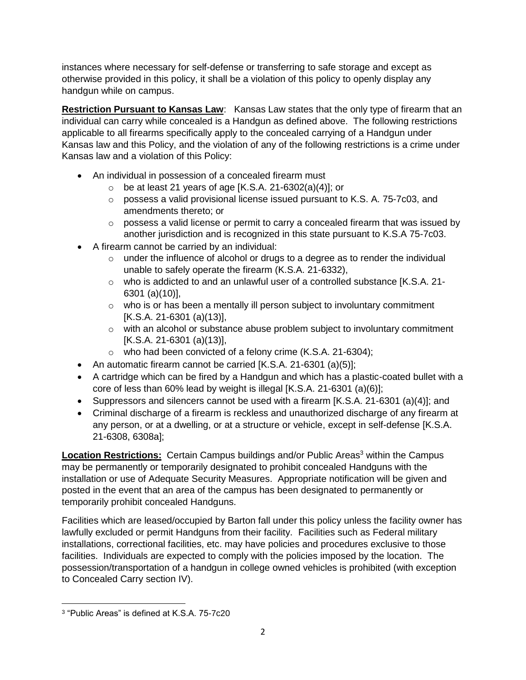instances where necessary for self-defense or transferring to safe storage and except as otherwise provided in this policy, it shall be a violation of this policy to openly display any handgun while on campus.

**Restriction Pursuant to Kansas Law**: Kansas Law states that the only type of firearm that an individual can carry while concealed is a Handgun as defined above. The following restrictions applicable to all firearms specifically apply to the concealed carrying of a Handgun under Kansas law and this Policy, and the violation of any of the following restrictions is a crime under Kansas law and a violation of this Policy:

- An individual in possession of a concealed firearm must
	- $\circ$  be at least 21 years of age [K.S.A. 21-6302(a)(4)]; or
	- o possess a valid provisional license issued pursuant to K.S. A. 75-7c03, and amendments thereto; or
	- $\circ$  possess a valid license or permit to carry a concealed firearm that was issued by another jurisdiction and is recognized in this state pursuant to K.S.A 75-7c03.
- A firearm cannot be carried by an individual:
	- $\circ$  under the influence of alcohol or drugs to a degree as to render the individual unable to safely operate the firearm (K.S.A. 21-6332),
	- $\circ$  who is addicted to and an unlawful user of a controlled substance [K.S.A. 21-6301 (a)(10)],
	- $\circ$  who is or has been a mentally ill person subject to involuntary commitment [K.S.A. 21-6301 (a)(13)],
	- $\circ$  with an alcohol or substance abuse problem subject to involuntary commitment [K.S.A. 21-6301 (a)(13)],
	- o who had been convicted of a felony crime (K.S.A. 21-6304);
- An automatic firearm cannot be carried [K.S.A. 21-6301 (a)(5)];
- A cartridge which can be fired by a Handgun and which has a plastic-coated bullet with a core of less than 60% lead by weight is illegal [K.S.A. 21-6301 (a)(6)];
- Suppressors and silencers cannot be used with a firearm [K.S.A. 21-6301 (a)(4)]; and
- Criminal discharge of a firearm is reckless and unauthorized discharge of any firearm at any person, or at a dwelling, or at a structure or vehicle, except in self-defense [K.S.A. 21-6308, 6308a];

**Location Restrictions:** Certain Campus buildings and/or Public Areas<sup>3</sup> within the Campus may be permanently or temporarily designated to prohibit concealed Handguns with the installation or use of Adequate Security Measures. Appropriate notification will be given and posted in the event that an area of the campus has been designated to permanently or temporarily prohibit concealed Handguns.

Facilities which are leased/occupied by Barton fall under this policy unless the facility owner has lawfully excluded or permit Handguns from their facility. Facilities such as Federal military installations, correctional facilities, etc. may have policies and procedures exclusive to those facilities. Individuals are expected to comply with the policies imposed by the location. The possession/transportation of a handgun in college owned vehicles is prohibited (with exception to Concealed Carry section IV).

 $\overline{\phantom{a}}$ 3 "Public Areas" is defined at K.S.A. 75-7c20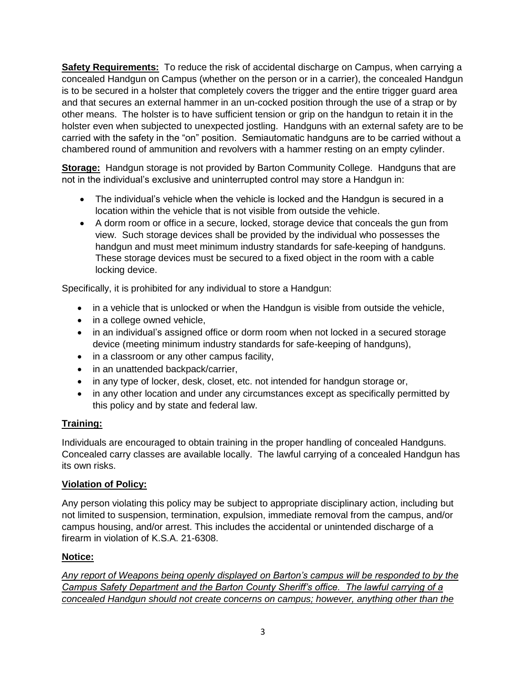**Safety Requirements:** To reduce the risk of accidental discharge on Campus, when carrying a concealed Handgun on Campus (whether on the person or in a carrier), the concealed Handgun is to be secured in a holster that completely covers the trigger and the entire trigger guard area and that secures an external hammer in an un-cocked position through the use of a strap or by other means. The holster is to have sufficient tension or grip on the handgun to retain it in the holster even when subjected to unexpected jostling. Handguns with an external safety are to be carried with the safety in the "on" position. Semiautomatic handguns are to be carried without a chambered round of ammunition and revolvers with a hammer resting on an empty cylinder.

**Storage:** Handgun storage is not provided by Barton Community College. Handguns that are not in the individual's exclusive and uninterrupted control may store a Handgun in:

- The individual's vehicle when the vehicle is locked and the Handgun is secured in a location within the vehicle that is not visible from outside the vehicle.
- A dorm room or office in a secure, locked, storage device that conceals the gun from view. Such storage devices shall be provided by the individual who possesses the handgun and must meet minimum industry standards for safe-keeping of handguns. These storage devices must be secured to a fixed object in the room with a cable locking device.

Specifically, it is prohibited for any individual to store a Handgun:

- in a vehicle that is unlocked or when the Handgun is visible from outside the vehicle,
- in a college owned vehicle,
- in an individual's assigned office or dorm room when not locked in a secured storage device (meeting minimum industry standards for safe-keeping of handguns),
- in a classroom or any other campus facility,
- in an unattended backpack/carrier,
- in any type of locker, desk, closet, etc. not intended for handgun storage or,
- in any other location and under any circumstances except as specifically permitted by this policy and by state and federal law.

## **Training:**

Individuals are encouraged to obtain training in the proper handling of concealed Handguns. Concealed carry classes are available locally. The lawful carrying of a concealed Handgun has its own risks.

## **Violation of Policy:**

Any person violating this policy may be subject to appropriate disciplinary action, including but not limited to suspension, termination, expulsion, immediate removal from the campus, and/or campus housing, and/or arrest. This includes the accidental or unintended discharge of a firearm in violation of K.S.A. 21-6308.

# **Notice:**

*Any report of Weapons being openly displayed on Barton's campus will be responded to by the Campus Safety Department and the Barton County Sheriff's office. The lawful carrying of a concealed Handgun should not create concerns on campus; however, anything other than the*